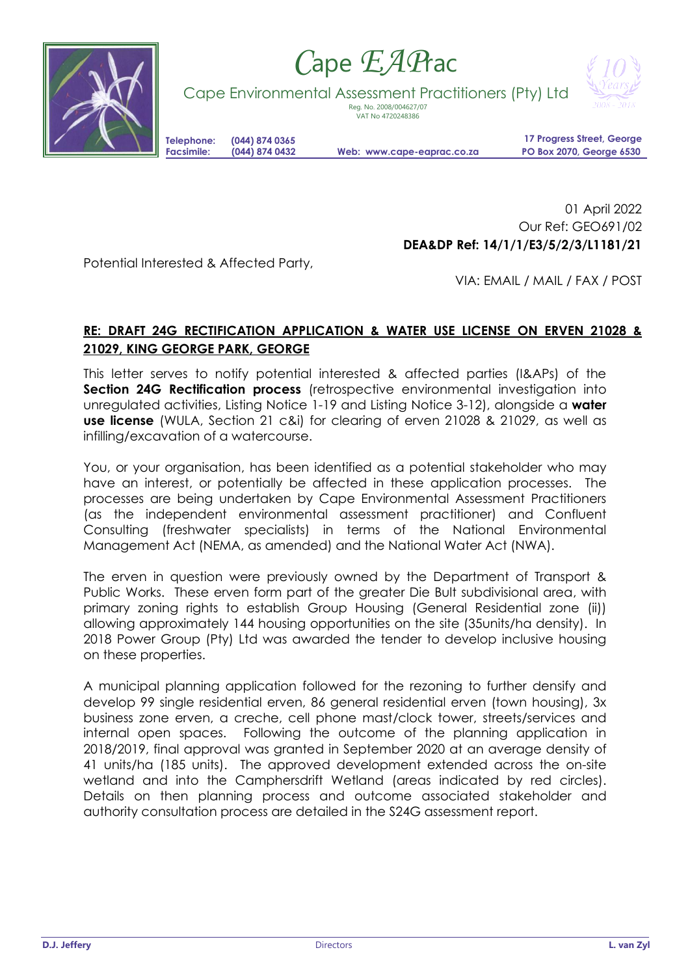

## *C*ape *EAP*rac

Cape Environmental Assessment Practitioners (Pty) Ltd



Reg. No. 2008/004627/07

VAT No 4720248386

**Telephone: (044) 874 0365**

**Facsimile: (044) 874 0432 Web: www.cape-eaprac.co.za**

**17 Progress Street, George PO Box 2070, George 6530**

01 April 2022 Our Ref: GEO691/02 **DEA&DP Ref: 14/1/1/E3/5/2/3/L1181/21**

Potential Interested & Affected Party,

VIA: EMAIL / MAIL / FAX / POST

## **RE: DRAFT 24G RECTIFICATION APPLICATION & WATER USE LICENSE ON ERVEN 21028 & 21029, KING GEORGE PARK, GEORGE**

This letter serves to notify potential interested & affected parties (I&APs) of the **Section 24G Rectification process** (retrospective environmental investigation into unregulated activities, Listing Notice 1-19 and Listing Notice 3-12), alongside a **water use license** (WULA, Section 21 c&i) for clearing of erven 21028 & 21029, as well as infilling/excavation of a watercourse.

You, or your organisation, has been identified as a potential stakeholder who may have an interest, or potentially be affected in these application processes. The processes are being undertaken by Cape Environmental Assessment Practitioners (as the independent environmental assessment practitioner) and Confluent Consulting (freshwater specialists) in terms of the National Environmental Management Act (NEMA, as amended) and the National Water Act (NWA).

The erven in question were previously owned by the Department of Transport & Public Works. These erven form part of the greater Die Bult subdivisional area, with primary zoning rights to establish Group Housing (General Residential zone (ii)) allowing approximately 144 housing opportunities on the site (35units/ha density). In 2018 Power Group (Pty) Ltd was awarded the tender to develop inclusive housing on these properties.

A municipal planning application followed for the rezoning to further densify and develop 99 single residential erven, 86 general residential erven (town housing), 3x business zone erven, a creche, cell phone mast/clock tower, streets/services and internal open spaces. Following the outcome of the planning application in 2018/2019, final approval was granted in September 2020 at an average density of 41 units/ha (185 units). The approved development extended across the on-site wetland and into the Camphersdrift Wetland (areas indicated by red circles). Details on then planning process and outcome associated stakeholder and authority consultation process are detailed in the S24G assessment report.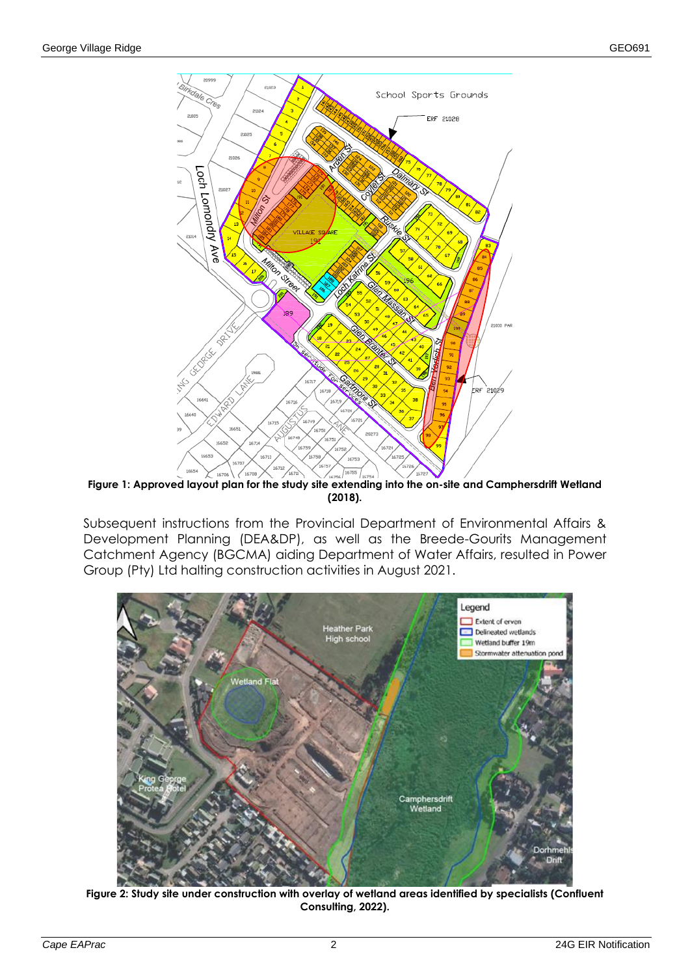

**Figure 1: Approved layout plan for the study site extending into the on-site and Camphersdrift Wetland (2018).**

Subsequent instructions from the Provincial Department of Environmental Affairs & Development Planning (DEA&DP), as well as the Breede-Gourits Management Catchment Agency (BGCMA) aiding Department of Water Affairs, resulted in Power Group (Pty) Ltd halting construction activities in August 2021.



**Figure 2: Study site under construction with overlay of wetland areas identified by specialists (Confluent Consulting, 2022).**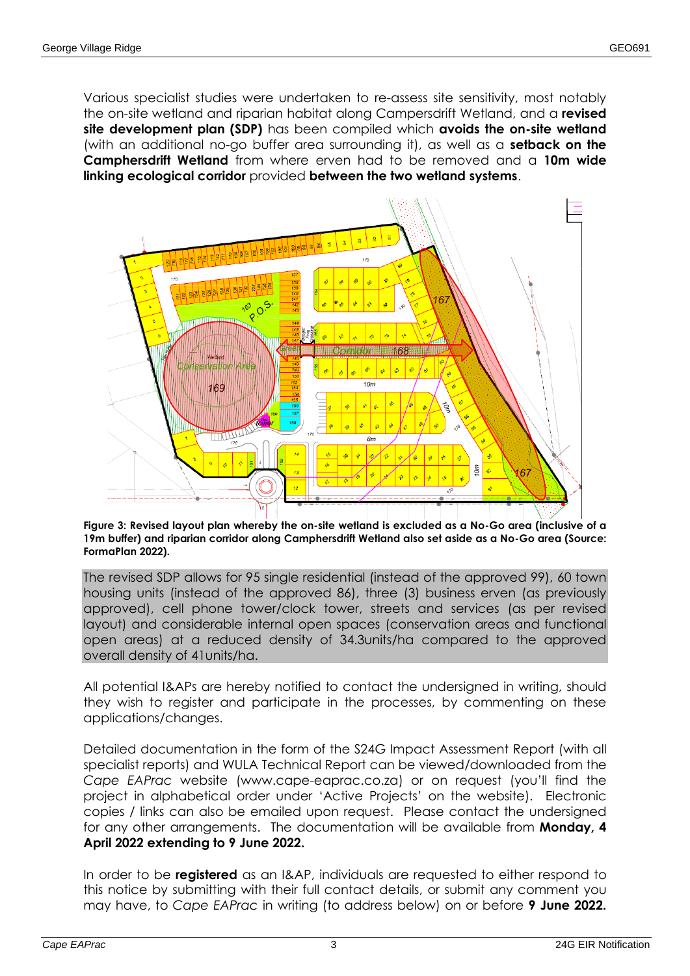Various specialist studies were undertaken to re-assess site sensitivity, most notably the on-site wetland and riparian habitat along Campersdrift Wetland, and a **revised site development plan (SDP)** has been compiled which **avoids the on-site wetland** (with an additional no-go buffer area surrounding it), as well as a **setback on the Camphersdrift Wetland** from where erven had to be removed and a **10m wide linking ecological corridor** provided **between the two wetland systems**.



## **Figure 3: Revised layout plan whereby the on-site wetland is excluded as a No-Go area (inclusive of a 19m buffer) and riparian corridor along Camphersdrift Wetland also set aside as a No-Go area (Source: FormaPlan 2022).**

The revised SDP allows for 95 single residential (instead of the approved 99), 60 town housing units (instead of the approved 86), three (3) business erven (as previously approved), cell phone tower/clock tower, streets and services (as per revised layout) and considerable internal open spaces (conservation areas and functional open areas) at a reduced density of 34.3units/ha compared to the approved overall density of 41units/ha.

All potential I&APs are hereby notified to contact the undersigned in writing, should they wish to register and participate in the processes, by commenting on these applications/changes.

Detailed documentation in the form of the S24G Impact Assessment Report (with all specialist reports) and WULA Technical Report can be viewed/downloaded from the *Cape EAPrac* website (www.cape-eaprac.co.za) or on request (you'll find the project in alphabetical order under 'Active Projects' on the website). Electronic copies / links can also be emailed upon request. Please contact the undersigned for any other arrangements. The documentation will be available from **Monday, 4 April 2022 extending to 9 June 2022.**

In order to be **registered** as an I&AP, individuals are requested to either respond to this notice by submitting with their full contact details, or submit any comment you may have, to *Cape EAPrac* in writing (to address below) on or before **9 June 2022.**